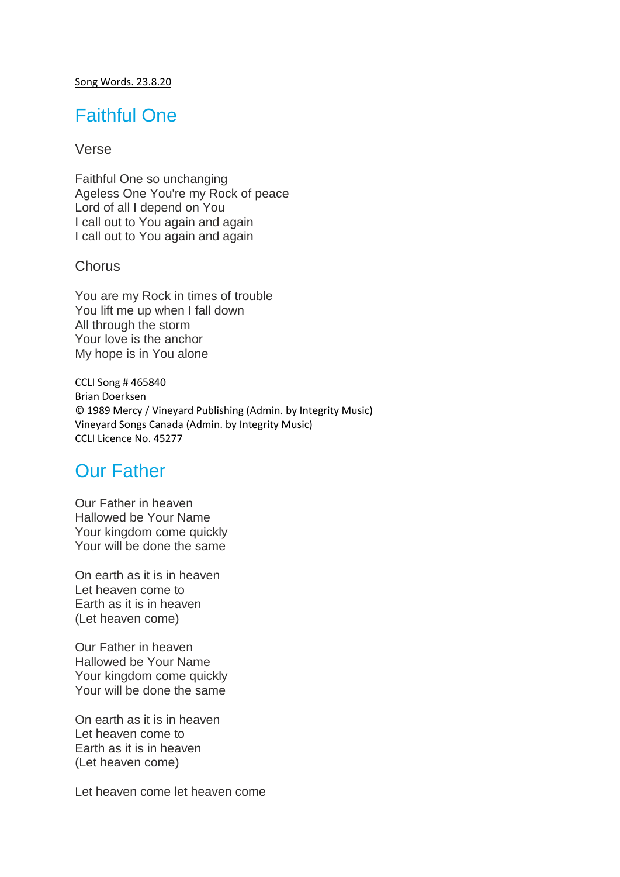#### Song Words. 23.8.20

## Faithful One

#### Verse

Faithful One so unchanging Ageless One You're my Rock of peace Lord of all I depend on You I call out to You again and again I call out to You again and again

### Chorus

You are my Rock in times of trouble You lift me up when I fall down All through the storm Your love is the anchor My hope is in You alone

CCLI Song # 465840 Brian Doerksen © 1989 Mercy / Vineyard Publishing (Admin. by Integrity Music) Vineyard Songs Canada (Admin. by Integrity Music) CCLI Licence No. 45277

## Our Father

Our Father in heaven Hallowed be Your Name Your kingdom come quickly Your will be done the same

On earth as it is in heaven Let heaven come to Earth as it is in heaven (Let heaven come)

Our Father in heaven Hallowed be Your Name Your kingdom come quickly Your will be done the same

On earth as it is in heaven Let heaven come to Earth as it is in heaven (Let heaven come)

Let heaven come let heaven come